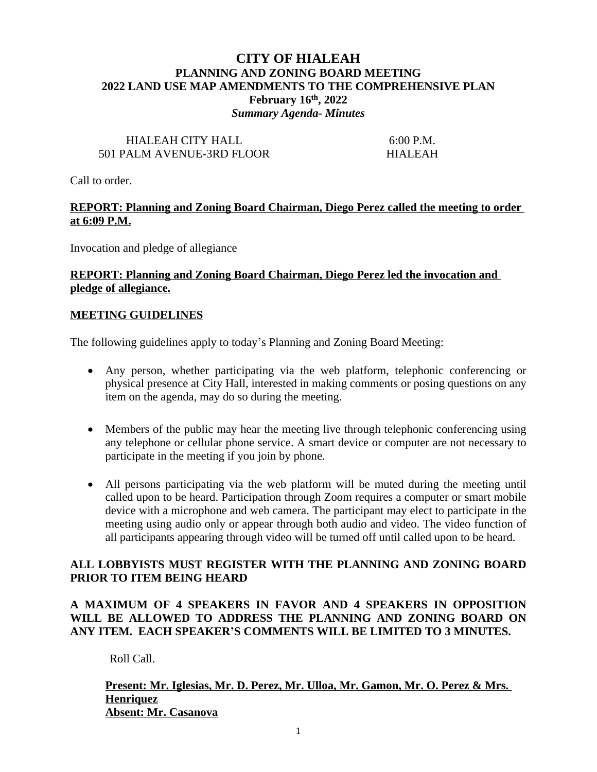## **CITY OF HIALEAH PLANNING AND ZONING BOARD MEETING 2022 LAND USE MAP AMENDMENTS TO THE COMPREHENSIVE PLAN February 16th, 2022** *Summary Agenda- Minutes*

## HIALEAH CITY HALL 6:00 P.M. 501 PALM AVENUE-3RD FLOOR HIALEAH

Call to order.

#### **REPORT: Planning and Zoning Board Chairman, Diego Perez called the meeting to order at 6:09 P.M.**

Invocation and pledge of allegiance

#### **REPORT: Planning and Zoning Board Chairman, Diego Perez led the invocation and pledge of allegiance.**

#### **MEETING GUIDELINES**

The following guidelines apply to today's Planning and Zoning Board Meeting:

- Any person, whether participating via the web platform, telephonic conferencing or physical presence at City Hall, interested in making comments or posing questions on any item on the agenda, may do so during the meeting.
- Members of the public may hear the meeting live through telephonic conferencing using any telephone or cellular phone service. A smart device or computer are not necessary to participate in the meeting if you join by phone.
- All persons participating via the web platform will be muted during the meeting until called upon to be heard. Participation through Zoom requires a computer or smart mobile device with a microphone and web camera. The participant may elect to participate in the meeting using audio only or appear through both audio and video. The video function of all participants appearing through video will be turned off until called upon to be heard.

## **ALL LOBBYISTS MUST REGISTER WITH THE PLANNING AND ZONING BOARD PRIOR TO ITEM BEING HEARD**

## **A MAXIMUM OF 4 SPEAKERS IN FAVOR AND 4 SPEAKERS IN OPPOSITION WILL BE ALLOWED TO ADDRESS THE PLANNING AND ZONING BOARD ON ANY ITEM. EACH SPEAKER'S COMMENTS WILL BE LIMITED TO 3 MINUTES.**

Roll Call.

## **Present: Mr. Iglesias, Mr. D. Perez, Mr. Ulloa, Mr. Gamon, Mr. O. Perez & Mrs. Henriquez Absent: Mr. Casanova**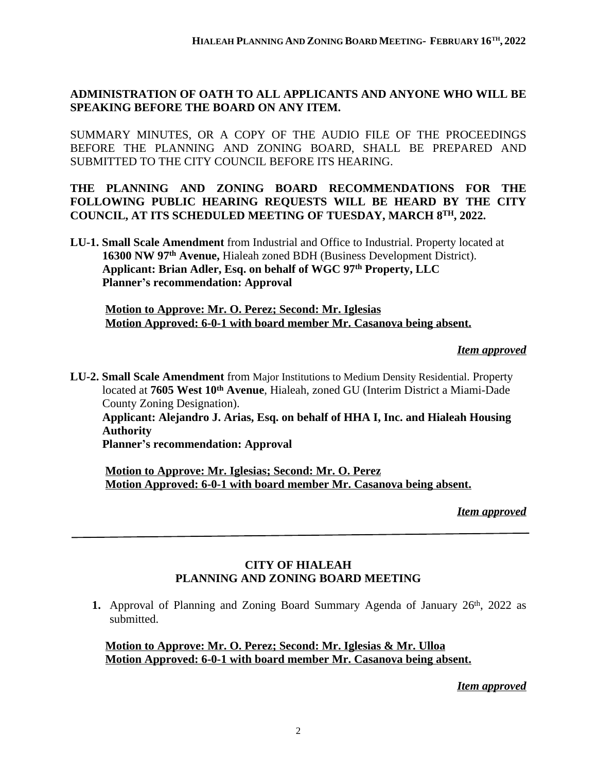## **ADMINISTRATION OF OATH TO ALL APPLICANTS AND ANYONE WHO WILL BE SPEAKING BEFORE THE BOARD ON ANY ITEM.**

SUMMARY MINUTES, OR A COPY OF THE AUDIO FILE OF THE PROCEEDINGS BEFORE THE PLANNING AND ZONING BOARD, SHALL BE PREPARED AND SUBMITTED TO THE CITY COUNCIL BEFORE ITS HEARING.

## **THE PLANNING AND ZONING BOARD RECOMMENDATIONS FOR THE FOLLOWING PUBLIC HEARING REQUESTS WILL BE HEARD BY THE CITY COUNCIL, AT ITS SCHEDULED MEETING OF TUESDAY, MARCH 8TH, 2022.**

**LU-1. Small Scale Amendment** from Industrial and Office to Industrial. Property located at  **16300 NW 97th Avenue,** Hialeah zoned BDH (Business Development District). **Applicant: Brian Adler, Esq. on behalf of WGC 97th Property, LLC Planner's recommendation: Approval**

**Motion to Approve: Mr. O. Perez; Second: Mr. Iglesias Motion Approved: 6-0-1 with board member Mr. Casanova being absent.**

#### *Item approved*

**LU-2. Small Scale Amendment** from Major Institutions to Medium Density Residential. Property located at **7605 West 10th Avenue**, Hialeah, zoned GU (Interim District a Miami-Dade County Zoning Designation).  **Applicant: Alejandro J. Arias, Esq. on behalf of HHA I, Inc. and Hialeah Housing Authority Planner's recommendation: Approval**

**Motion to Approve: Mr. Iglesias; Second: Mr. O. Perez Motion Approved: 6-0-1 with board member Mr. Casanova being absent.**

*Item approved*

## **CITY OF HIALEAH PLANNING AND ZONING BOARD MEETING**

1. Approval of Planning and Zoning Board Summary Agenda of January 26<sup>th</sup>, 2022 as submitted.

**Motion to Approve: Mr. O. Perez; Second: Mr. Iglesias & Mr. Ulloa Motion Approved: 6-0-1 with board member Mr. Casanova being absent.**

*Item approved*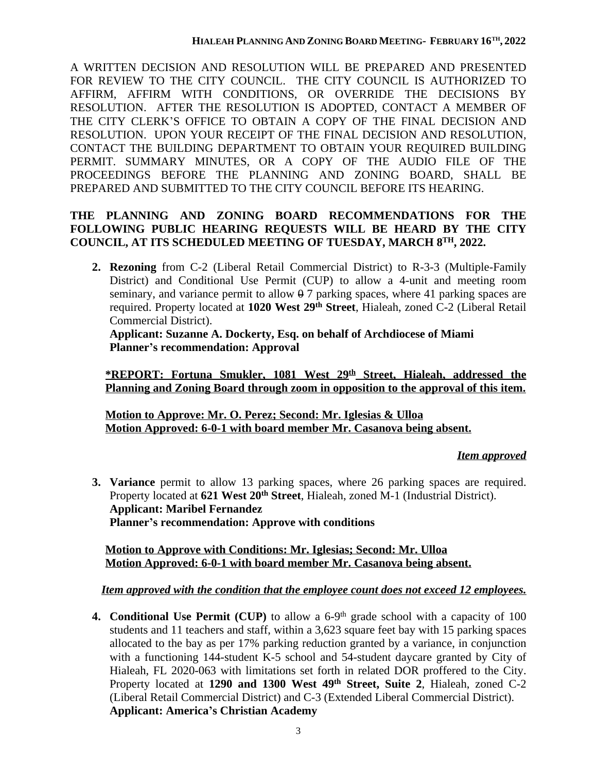A WRITTEN DECISION AND RESOLUTION WILL BE PREPARED AND PRESENTED FOR REVIEW TO THE CITY COUNCIL. THE CITY COUNCIL IS AUTHORIZED TO AFFIRM, AFFIRM WITH CONDITIONS, OR OVERRIDE THE DECISIONS BY RESOLUTION. AFTER THE RESOLUTION IS ADOPTED, CONTACT A MEMBER OF THE CITY CLERK'S OFFICE TO OBTAIN A COPY OF THE FINAL DECISION AND RESOLUTION. UPON YOUR RECEIPT OF THE FINAL DECISION AND RESOLUTION, CONTACT THE BUILDING DEPARTMENT TO OBTAIN YOUR REQUIRED BUILDING PERMIT. SUMMARY MINUTES, OR A COPY OF THE AUDIO FILE OF THE PROCEEDINGS BEFORE THE PLANNING AND ZONING BOARD, SHALL BE PREPARED AND SUBMITTED TO THE CITY COUNCIL BEFORE ITS HEARING.

## **THE PLANNING AND ZONING BOARD RECOMMENDATIONS FOR THE FOLLOWING PUBLIC HEARING REQUESTS WILL BE HEARD BY THE CITY COUNCIL, AT ITS SCHEDULED MEETING OF TUESDAY, MARCH 8TH, 2022.**

**2. Rezoning** from C-2 (Liberal Retail Commercial District) to R-3-3 (Multiple-Family District) and Conditional Use Permit (CUP) to allow a 4-unit and meeting room seminary, and variance permit to allow  $\theta$  7 parking spaces, where 41 parking spaces are required. Property located at **1020 West 29th Street**, Hialeah, zoned C-2 (Liberal Retail Commercial District).

**Applicant: Suzanne A. Dockerty, Esq. on behalf of Archdiocese of Miami Planner's recommendation: Approval**

**\*REPORT: Fortuna Smukler, 1081 West 29th Street, Hialeah, addressed the Planning and Zoning Board through zoom in opposition to the approval of this item.**

**Motion to Approve: Mr. O. Perez; Second: Mr. Iglesias & Ulloa Motion Approved: 6-0-1 with board member Mr. Casanova being absent.**

## *Item approved*

**3. Variance** permit to allow 13 parking spaces, where 26 parking spaces are required. Property located at **621 West 20th Street**, Hialeah, zoned M-1 (Industrial District). **Applicant: Maribel Fernandez Planner's recommendation: Approve with conditions**

**Motion to Approve with Conditions: Mr. Iglesias; Second: Mr. Ulloa Motion Approved: 6-0-1 with board member Mr. Casanova being absent.**

# *Item approved with the condition that the employee count does not exceed 12 employees.*

**4. Conditional Use Permit (CUP)** to allow a 6-9th grade school with a capacity of 100 students and 11 teachers and staff, within a 3,623 square feet bay with 15 parking spaces allocated to the bay as per 17% parking reduction granted by a variance, in conjunction with a functioning 144-student K-5 school and 54-student daycare granted by City of Hialeah, FL 2020-063 with limitations set forth in related DOR proffered to the City. Property located at **1290 and 1300 West 49th Street, Suite 2**, Hialeah, zoned C-2 (Liberal Retail Commercial District) and C-3 (Extended Liberal Commercial District). **Applicant: America's Christian Academy**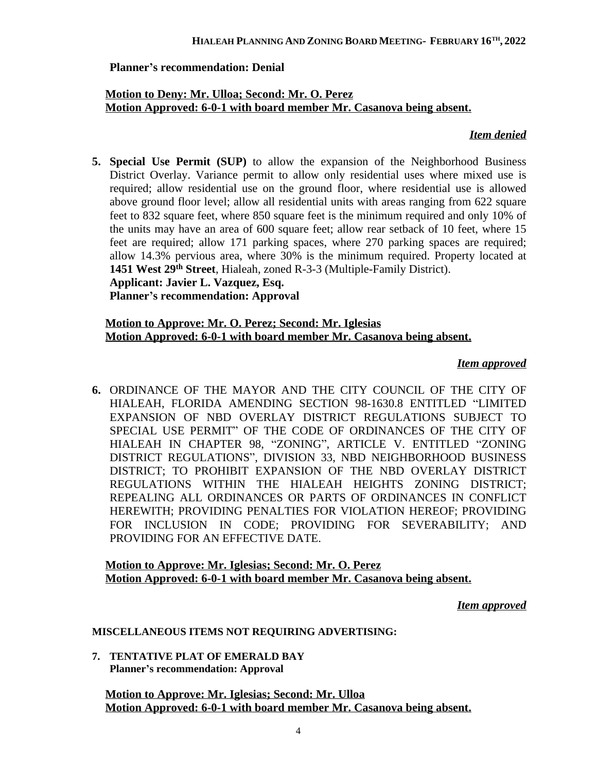## **Planner's recommendation: Denial**

## **Motion to Deny: Mr. Ulloa; Second: Mr. O. Perez Motion Approved: 6-0-1 with board member Mr. Casanova being absent.**

## *Item denied*

**5. Special Use Permit (SUP)** to allow the expansion of the Neighborhood Business District Overlay. Variance permit to allow only residential uses where mixed use is required; allow residential use on the ground floor, where residential use is allowed above ground floor level; allow all residential units with areas ranging from 622 square feet to 832 square feet, where 850 square feet is the minimum required and only 10% of the units may have an area of 600 square feet; allow rear setback of 10 feet, where 15 feet are required; allow 171 parking spaces, where 270 parking spaces are required; allow 14.3% pervious area, where 30% is the minimum required. Property located at **1451 West 29th Street**, Hialeah, zoned R-3-3 (Multiple-Family District). **Applicant: Javier L. Vazquez, Esq.**

**Planner's recommendation: Approval**

## **Motion to Approve: Mr. O. Perez; Second: Mr. Iglesias Motion Approved: 6-0-1 with board member Mr. Casanova being absent.**

## *Item approved*

**6.** ORDINANCE OF THE MAYOR AND THE CITY COUNCIL OF THE CITY OF HIALEAH, FLORIDA AMENDING SECTION 98-1630.8 ENTITLED "LIMITED EXPANSION OF NBD OVERLAY DISTRICT REGULATIONS SUBJECT TO SPECIAL USE PERMIT" OF THE CODE OF ORDINANCES OF THE CITY OF HIALEAH IN CHAPTER 98, "ZONING", ARTICLE V. ENTITLED "ZONING DISTRICT REGULATIONS", DIVISION 33, NBD NEIGHBORHOOD BUSINESS DISTRICT; TO PROHIBIT EXPANSION OF THE NBD OVERLAY DISTRICT REGULATIONS WITHIN THE HIALEAH HEIGHTS ZONING DISTRICT; REPEALING ALL ORDINANCES OR PARTS OF ORDINANCES IN CONFLICT HEREWITH; PROVIDING PENALTIES FOR VIOLATION HEREOF; PROVIDING FOR INCLUSION IN CODE; PROVIDING FOR SEVERABILITY; AND PROVIDING FOR AN EFFECTIVE DATE.

## **Motion to Approve: Mr. Iglesias; Second: Mr. O. Perez Motion Approved: 6-0-1 with board member Mr. Casanova being absent.**

## *Item approved*

## **MISCELLANEOUS ITEMS NOT REQUIRING ADVERTISING:**

**7. TENTATIVE PLAT OF EMERALD BAY Planner's recommendation: Approval**

**Motion to Approve: Mr. Iglesias; Second: Mr. Ulloa Motion Approved: 6-0-1 with board member Mr. Casanova being absent.**